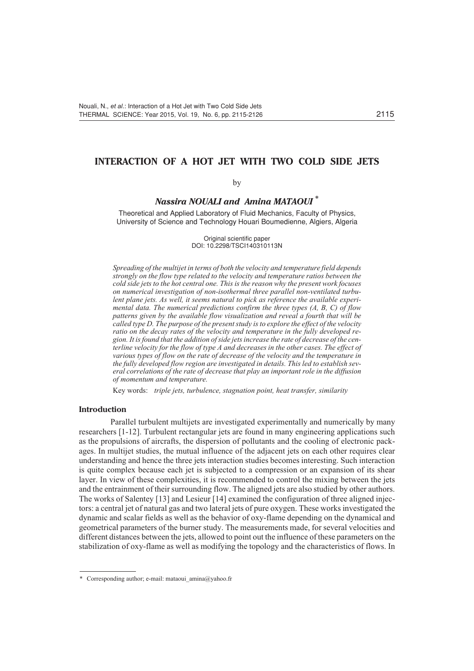# **INTERACTION OF A HOT JET WITH TWO COLD SIDE JETS**

## by

## *Nassira NOUALI and Amina MATAOUI \**

Theoretical and Applied Laboratory of Fluid Mechanics, Faculty of Physics, University of Science and Technology Houari Boumedienne, Algiers, Algeria

> Original scientific paper DOI: 10.2298/TSCI140310113N

*Spreading of the multijet in terms of both the velocity and temperature field depends strongly on the flow type related to the velocity and temperature ratios between the cold side jets to the hot central one. This is the reason why the present work focuses on numerical investigation of non-isothermal three parallel non-ventilated turbulent plane jets. As well, it seems natural to pick as reference the available experimental data. The numerical predictions confirm the three types (A, B, C) of flow patterns given by the available flow visualization and reveal a fourth that will be called type D. The purpose of the present study is to explore the effect of the velocity ratio on the decay rates of the velocity and temperature in the fully developed region. It is found that the addition of side jets increase the rate of decrease of the centerline velocity for the flow of type A and decreases in the other cases. The effect of various types of flow on the rate of decrease of the velocity and the temperature in the fully developed flow region are investigated in details. This led to establish several correlations of the rate of decrease that play an important role in the diffusion of momentum and temperature.*

Key words: *triple jets, turbulence, stagnation point, heat transfer, similarity*

## **Introduction**

Parallel turbulent multijets are investigated experimentally and numerically by many researchers [1-12]. Turbulent rectangular jets are found in many engineering applications such as the propulsions of aircrafts, the dispersion of pollutants and the cooling of electronic packages. In multijet studies, the mutual influence of the adjacent jets on each other requires clear understanding and hence the three jets interaction studies becomes interesting. Such interaction is quite complex because each jet is subjected to a compression or an expansion of its shear layer. In view of these complexities, it is recommended to control the mixing between the jets and the entrainment of their surrounding flow. The aligned jets are also studied by other authors. The works of Salentey [13] and Lesieur [14] examined the configuration of three aligned injectors: a central jet of natural gas and two lateral jets of pure oxygen. These works investigated the dynamic and scalar fields as well as the behavior of oxy-flame depending on the dynamical and geometrical parameters of the burner study. The measurements made, for several velocities and different distances between the jets, allowed to point out the influence of these parameters on the stabilization of oxy-flame as well as modifying the topology and the characteristics of flows. In

<sup>\*</sup> Corresponding author; e-mail: mataoui\_amina@yahoo.fr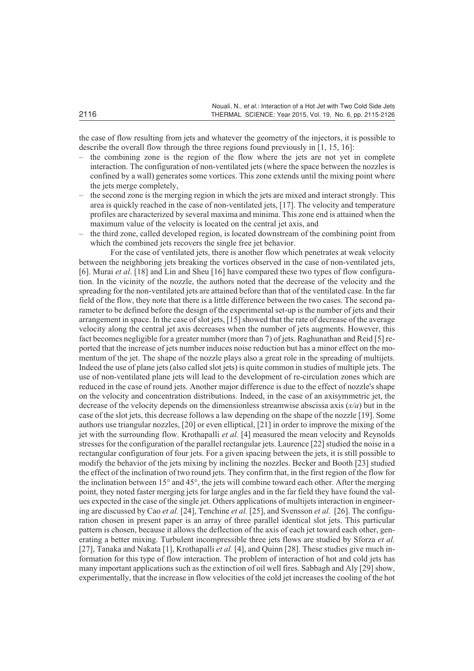the case of flow resulting from jets and whatever the geometry of the injectors, it is possible to describe the overall flow through the three regions found previously in [1, 15, 16]:

- the combining zone is the region of the flow where the jets are not yet in complete interaction. The configuration of non-ventilated jets (where the space between the nozzles is confined by a wall) generates some vortices. This zone extends until the mixing point where the jets merge completely,
- the second zone is the merging region in which the jets are mixed and interact strongly. This area is quickly reached in the case of non-ventilated jets, [17]. The velocity and temperature profiles are characterized by several maxima and minima. This zone end is attained when the maximum value of the velocity is located on the central jet axis, and
- the third zone, called developed region, is located downstream of the combining point from which the combined jets recovers the single free jet behavior.

For the case of ventilated jets, there is another flow which penetrates at weak velocity between the neighboring jets breaking the vortices observed in the case of non-ventilated jets, [6]. Murai *et al*. [18] and Lin and Sheu [16] have compared these two types of flow configuration. In the vicinity of the nozzle, the authors noted that the decrease of the velocity and the spreading for the non-ventilated jets are attained before than that of the ventilated case. In the far field of the flow, they note that there is a little difference between the two cases. The second parameter to be defined before the design of the experimental set-up is the number of jets and their arrangement in space. In the case of slot jets, [15] showed that the rate of decrease of the average velocity along the central jet axis decreases when the number of jets augments. However, this fact becomes negligible for a greater number (more than 7) of jets. Raghunathan and Reid [5] reported that the increase of jets number induces noise reduction but has a minor effect on the momentum of the jet. The shape of the nozzle plays also a great role in the spreading of multijets. Indeed the use of plane jets (also called slot jets) is quite common in studies of multiple jets. The use of non-ventilated plane jets will lead to the development of re-circulation zones which are reduced in the case of round jets. Another major difference is due to the effect of nozzle's shape on the velocity and concentration distributions. Indeed, in the case of an axisymmetric jet, the decrease of the velocity depends on the dimensionless streamwise abscissa axis (*x/a*) but in the case of the slot jets, this decrease follows a law depending on the shape of the nozzle [19]. Some authors use triangular nozzles, [20] or even elliptical, [21] in order to improve the mixing of the jet with the surrounding flow. Krothapalli *et al.* [4] measured the mean velocity and Reynolds stresses for the configuration of the parallel rectangular jets. Laurence [22] studied the noise in a rectangular configuration of four jets. For a given spacing between the jets, it is still possible to modify the behavior of the jets mixing by inclining the nozzles. Becker and Booth [23] studied the effect of the inclination of two round jets. They confirm that, in the first region of the flow for the inclination between 15° and 45°, the jets will combine toward each other. After the merging point, they noted faster merging jets for large angles and in the far field they have found the values expected in the case of the single jet. Others applications of multijets interaction in engineering are discussed by Cao *et al.* [24], Tenchine *et al.* [25], and Svensson *et al.* [26]. The configuration chosen in present paper is an array of three parallel identical slot jets. This particular pattern is chosen, because it allows the deflection of the axis of each jet toward each other, generating a better mixing. Turbulent incompressible three jets flows are studied by Sforza *et al.* [27], Tanaka and Nakata [1], Krothapalli *et al.* [4], and Quinn [28]. These studies give much information for this type of flow interaction. The problem of interaction of hot and cold jets has many important applications such as the extinction of oil well fires. Sabbagh and Aly [29] show, experimentally, that the increase in flow velocities of the cold jet increases the cooling of the hot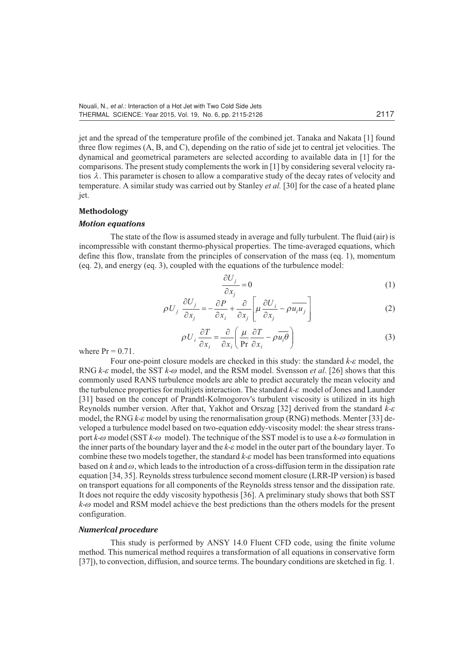jet and the spread of the temperature profile of the combined jet. Tanaka and Nakata [1] found three flow regimes (A, B, and C), depending on the ratio of side jet to central jet velocities. The dynamical and geometrical parameters are selected according to available data in [1] for the comparisons. The present study complements the work in [1] by considering several velocity ratios  $\lambda$ . This parameter is chosen to allow a comparative study of the decay rates of velocity and temperature. A similar study was carried out by Stanley *et al.* [30] for the case of a heated plane iet.

## **Methodology**

## *Motion equations*

The state of the flow is assumed steady in average and fully turbulent. The fluid (air) is incompressible with constant thermo-physical properties. The time-averaged equations, which define this flow, translate from the principles of conservation of the mass (eq. 1), momentum (eq. 2), and energy (eq. 3), coupled with the equations of the turbulence model:

$$
\frac{\partial U_j}{\partial x_j} = 0 \tag{1}
$$

$$
\rho U_j \frac{\partial U_j}{\partial x_j} = -\frac{\partial P}{\partial x_i} + \frac{\partial}{\partial x_j} \left[ \mu \frac{\partial U_i}{\partial x_j} - \rho \overline{u_i u_j} \right]
$$
(2)

$$
\rho U_i \frac{\partial T}{\partial x_i} = \frac{\partial}{\partial x_i} \left( \frac{\mu}{\text{Pr}} \frac{\partial T}{\partial x_i} - \rho \overline{u_i \theta} \right)
$$
(3)

where  $Pr = 0.71$ .

Four one-point closure models are checked in this study: the standard *k-e* model, the RNG *k-e* model, the SST *k-w* model, and the RSM model. Svensson *et al*. [26] shows that this commonly used RANS turbulence models are able to predict accurately the mean velocity and the turbulence properties for multijets interaction. The standard *k-e* model of Jones and Launder [31] based on the concept of Prandtl-Kolmogorov's turbulent viscosity is utilized in its high Reynolds number version. After that, Yakhot and Orszag [32] derived from the standard *k-e* model, the RNG *k-e* model by using the renormalisation group (RNG) methods. Menter [33] developed a turbulence model based on two-equation eddy-viscosity model: the shear stress transport *k-w* model (SST *k-w* model). The technique of the SST model is to use a *k-w* formulation in the inner parts of the boundary layer and the *k-e* model in the outer part of the boundary layer. To combine these two models together, the standard  $k$ - $\varepsilon$  model has been transformed into equations based on  $k$  and  $\omega$ , which leads to the introduction of a cross-diffusion term in the dissipation rate equation [34, 35]. Reynolds stress turbulence second moment closure (LRR-IP version) is based on transport equations for all components of the Reynolds stress tensor and the dissipation rate. It does not require the eddy viscosity hypothesis [36]. A preliminary study shows that both SST *k-w* model and RSM model achieve the best predictions than the others models for the present configuration.

#### *Numerical procedure*

This study is performed by ANSY 14.0 Fluent CFD code, using the finite volume method. This numerical method requires a transformation of all equations in conservative form [37]), to convection, diffusion, and source terms. The boundary conditions are sketched in fig. 1.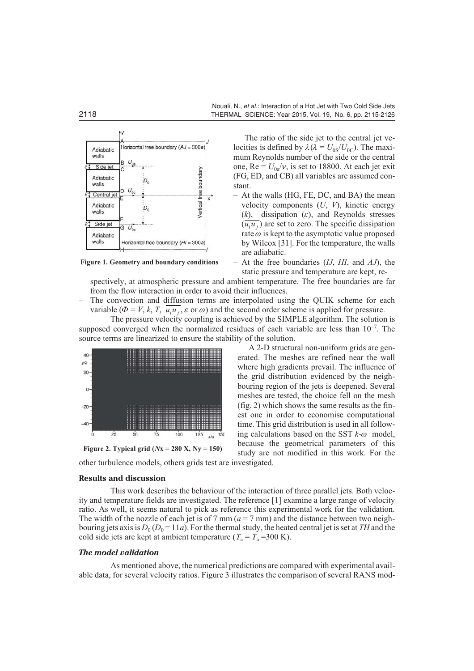

**Figure 1. Geometry and boundary conditions**

The ratio of the side jet to the central jet velocities is defined by  $\lambda(\lambda = U_{0S}/U_{0C})$ . The maximum Reynolds number of the side or the central one,  $Re = U_{0a}/v$ , is set to 18800. At each jet exit (FG, ED, and CB) all variables are assumed constant.

- At the walls (HG, FE, DC, and BA) the mean velocity components (*U*, *V*), kinetic energy  $(k)$ , dissipation  $(\varepsilon)$ , and Reynolds stresses  $(\overline{u_i u_j})$  are set to zero. The specific dissipation rate  $\omega$  is kept to the asymptotic value proposed by Wilcox [31]. For the temperature, the walls are adiabatic.
- At the free boundaries (*IJ*, *HI*, and *AJ*), the static pressure and temperature are kept, re-

A 2-D structural non-uniform grids are generated. The meshes are refined near the wall where high gradients prevail. The influence of the grid distribution evidenced by the neighbouring region of the jets is deepened. Several meshes are tested, the choice fell on the mesh (fig. 2) which shows the same results as the finest one in order to economise computational time. This grid distribution is used in all following calculations based on the SST *k-w* model, because the geometrical parameters of this study are not modified in this work. For the

spectively, at atmospheric pressure and ambient temperature. The free boundaries are far from the flow interaction in order to avoid their influences.

– The convection and diffusion terms are interpolated using the QUIK scheme for each variable ( $\Phi = V, k, T, \overline{u_i u_j}, \varepsilon$  or  $\omega$ ) and the second order scheme is applied for pressure.

The pressure velocity coupling is achieved by the SIMPLE algorithm. The solution is supposed converged when the normalized residues of each variable are less than  $10^{-7}$ . The source terms are linearized to ensure the stability of the solution.



**Figure 2. Typical grid (***N***x = 280 X, Ny = 150)**

other turbulence models, others grids test are investigated.

#### **Results and discussion**

This work describes the behaviour of the interaction of three parallel jets. Both velocity and temperature fields are investigated. The reference [1] examine a large range of velocity ratio. As well, it seems natural to pick as reference this experimental work for the validation. The width of the nozzle of each jet is of 7 mm  $(a = 7 \text{ mm})$  and the distance between two neighbouring jets axis is  $D_0 (D_0 = 11a)$ . For the thermal study, the heated central jet is set at *TH* and the cold side jets are kept at ambient temperature ( $T_c = T_a = 300 \text{ K}$ ).

## *The model validation*

As mentioned above, the numerical predictions are compared with experimental available data, for several velocity ratios. Figure 3 illustrates the comparison of several RANS mod-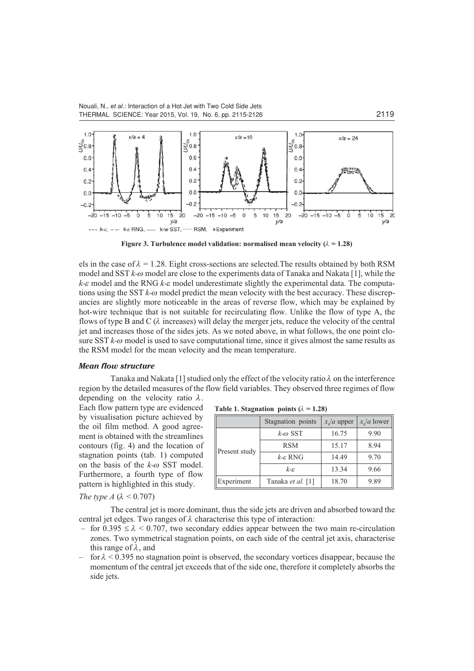

**Figure 3. Turbulence model validation: normalised mean velocity (** $\lambda = 1.28$ **)** 

els in the case of  $\lambda = 1.28$ . Eight cross-sections are selected. The results obtained by both RSM model and SST *k-w* model are close to the experiments data of Tanaka and Nakata [1], while the *k-e* model and the RNG *k-e* model underestimate slightly the experimental data. The computations using the SST *k-w* model predict the mean velocity with the best accuracy. These discrepancies are slightly more noticeable in the areas of reverse flow, which may be explained by hot-wire technique that is not suitable for recirculating flow. Unlike the flow of type A, the flows of type B and C (*l* increases) will delay the merger jets, reduce the velocity of the central jet and increases those of the sides jets. As we noted above, in what follows, the one point closure SST  $k$ - $\omega$  model is used to save computational time, since it gives almost the same results as the RSM model for the mean velocity and the mean temperature.

#### *Mean flow structure*

Tanaka and Nakata [1] studied only the effect of the velocity ratio  $\lambda$  on the interference region by the detailed measures of the flow field variables. They observed three regimes of flow depending on the velocity ratio  $\lambda$ .

Each flow pattern type are evidenced by visualisation picture achieved by the oil film method. A good agreement is obtained with the streamlines contours (fig. 4) and the location of stagnation points (tab. 1) computed on the basis of the *k-w* SST model. Furthermore, a fourth type of flow pattern is highlighted in this study.

| Table 1. Stagnation points ( $\lambda = 1.28$ ) |  |  |  |  |
|-------------------------------------------------|--|--|--|--|
|-------------------------------------------------|--|--|--|--|

|               | Stagnation points       | $x_{s}/a$ upper | $x_s/a$ lower |
|---------------|-------------------------|-----------------|---------------|
| Present study | $k-\omega$ SST          | 16.75           | 9.90          |
|               | <b>RSM</b>              | 15.17           | 8.94          |
|               | $k$ - $\varepsilon$ RNG | 14.49           | 9.70          |
|               | $k - \varepsilon$       | 13.34           | 9.66          |
| Experiment    | Tanaka et al. [1]       | 18.70           | 9.89          |

*The type A* ( $\lambda$  < 0.707)

The central jet is more dominant, thus the side jets are driven and absorbed toward the central jet edges. Two ranges of  $\lambda$  characterise this type of interaction:

- for 0.395  $\leq \lambda$  < 0.707, two secondary eddies appear between the two main re-circulation zones. Two symmetrical stagnation points, on each side of the central jet axis, characterise this range of *l*, and
- $-$  for  $\lambda$  < 0.395 no stagnation point is observed, the secondary vortices disappear, because the momentum of the central jet exceeds that of the side one, therefore it completely absorbs the side jets.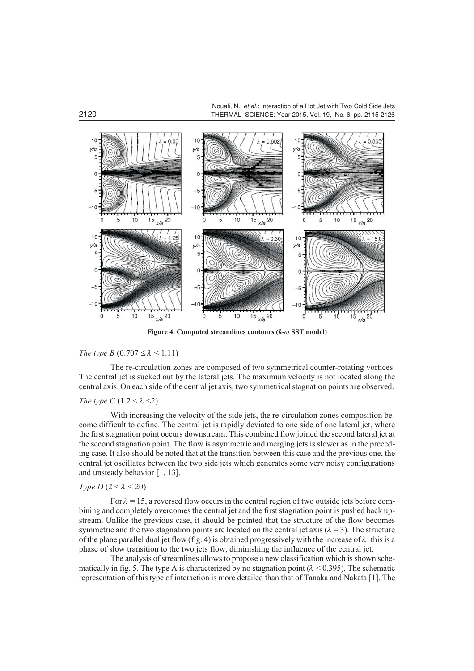Nouali, N., *et al*.: Interaction of a Hot Jet with Two Cold Side Jets 2120 THERMAL SCIENCE: Year 2015, Vol. 19, No. 6, pp. 2115-2126



**Figure 4. Computed streamlines contours (***k-w* **SST model)**

## *The type B* (0.707  $\leq \lambda \leq 1.11$ )

The re-circulation zones are composed of two symmetrical counter-rotating vortices. The central jet is sucked out by the lateral jets. The maximum velocity is not located along the central axis. On each side of the central jet axis, two symmetrical stagnation points are observed.

## *The type C* (1.2  $< \lambda$   $<$ 2)

With increasing the velocity of the side jets, the re-circulation zones composition become difficult to define. The central jet is rapidly deviated to one side of one lateral jet, where the first stagnation point occurs downstream. This combined flow joined the second lateral jet at the second stagnation point. The flow is asymmetric and merging jets is slower as in the preceding case. It also should be noted that at the transition between this case and the previous one, the central jet oscillates between the two side jets which generates some very noisy configurations and unsteady behavior [1, 13].

## *Type D*  $(2 < \lambda < 20)$

For  $\lambda = 15$ , a reversed flow occurs in the central region of two outside jets before combining and completely overcomes the central jet and the first stagnation point is pushed back upstream. Unlike the previous case, it should be pointed that the structure of the flow becomes symmetric and the two stagnation points are located on the central jet axis  $(\lambda = 3)$ . The structure of the plane parallel dual jet flow (fig. 4) is obtained progressively with the increase of  $\lambda$ : this is a phase of slow transition to the two jets flow, diminishing the influence of the central jet.

The analysis of streamlines allows to propose a new classification which is shown schematically in fig. 5. The type A is characterized by no stagnation point  $(\lambda < 0.395)$ . The schematic representation of this type of interaction is more detailed than that of Tanaka and Nakata [1]. The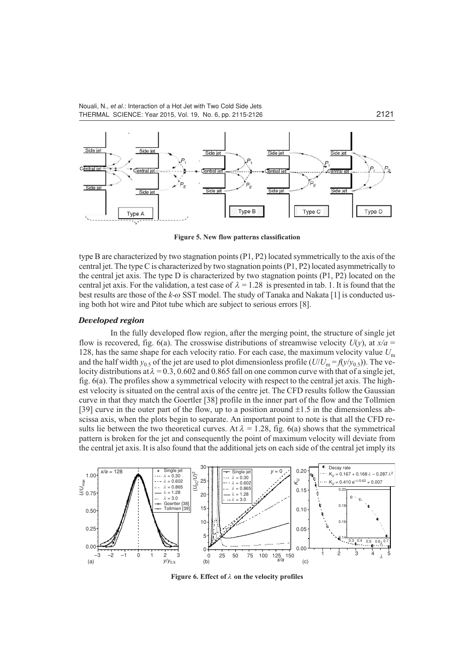

**Figure 5. New flow patterns classification**

type B are characterized by two stagnation points (P1, P2) located symmetrically to the axis of the central jet. The type C is characterized by two stagnation points (P1, P2) located asymmetrically to the central jet axis. The type D is characterized by two stagnation points (P1, P2) located on the central jet axis. For the validation, a test case of  $\lambda = 1.28$  is presented in tab. 1. It is found that the best results are those of the *k-w* SST model. The study of Tanaka and Nakata [1] is conducted using both hot wire and Pitot tube which are subject to serious errors [8].

#### *Developed region*

In the fully developed flow region, after the merging point, the structure of single jet flow is recovered, fig. 6(a). The crosswise distributions of streamwise velocity  $U(y)$ , at  $x/a =$ 128, has the same shape for each velocity ratio. For each case, the maximum velocity value *U*<sup>m</sup> and the half width  $y_0$ , of the jet are used to plot dimensionless profile  $(U/U_m = f(y/y_0, 5))$ . The velocity distributions at  $\lambda = 0.3, 0.602$  and 0.865 fall on one common curve with that of a single jet, fig. 6(a). The profiles show a symmetrical velocity with respect to the central jet axis. The highest velocity is situated on the central axis of the centre jet. The CFD results follow the Gaussian curve in that they match the Goertler [38] profile in the inner part of the flow and the Tollmien [39] curve in the outer part of the flow, up to a position around  $\pm 1.5$  in the dimensionless abscissa axis, when the plots begin to separate. An important point to note is that all the CFD results lie between the two theoretical curves. At  $\lambda = 1.28$ , fig. 6(a) shows that the symmetrical pattern is broken for the jet and consequently the point of maximum velocity will deviate from the central jet axis. It is also found that the additional jets on each side of the central jet imply its



Figure 6. Effect of  $\lambda$  on the velocity profiles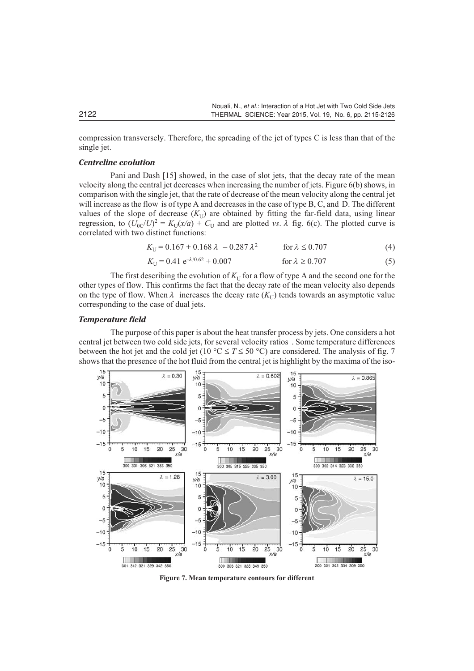compression transversely. Therefore, the spreading of the jet of types C is less than that of the single jet.

## *Centreline evolution*

Pani and Dash [15] showed, in the case of slot jets, that the decay rate of the mean velocity along the central jet decreases when increasing the number of jets. Figure 6(b) shows, in comparison with the single jet, that the rate of decrease of the mean velocity along the central jet will increase as the flow is of type A and decreases in the case of type B, C, and D. The different values of the slope of decrease  $(K_U)$  are obtained by fitting the far-field data, using linear regression, to  $(U_{0C}/U)^2 = K_U(x/a) + C_U$  and are plotted *vs.*  $\lambda$  fig. 6(c). The plotted curve is correlated with two distinct functions:

$$
K_{\text{U}} = 0.167 + 0.168 \,\lambda \, -0.287 \,\lambda^2 \qquad \text{for } \lambda \le 0.707 \tag{4}
$$

$$
K_{\text{U}} = 0.41 \, \text{e}^{-\lambda/0.62} + 0.007 \qquad \qquad \text{for } \lambda \ge 0.707 \tag{5}
$$

The first describing the evolution of  $K_U$  for a flow of type A and the second one for the other types of flow. This confirms the fact that the decay rate of the mean velocity also depends on the type of flow. When  $\lambda$  increases the decay rate  $(K_{U})$  tends towards an asymptotic value corresponding to the case of dual jets.

## *Temperature field*

The purpose of this paper is about the heat transfer process by jets. One considers a hot central jet between two cold side jets, for several velocity ratios . Some temperature differences between the hot jet and the cold jet (10 °C  $\leq T \leq 50$  °C) are considered. The analysis of fig. 7 shows that the presence of the hot fluid from the central jet is highlight by the maxima of the iso-



**Figure 7. Mean temperature contours for different**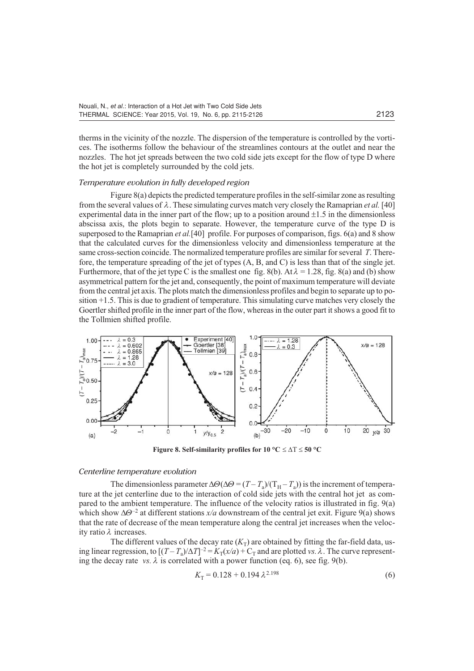therms in the vicinity of the nozzle. The dispersion of the temperature is controlled by the vortices. The isotherms follow the behaviour of the streamlines contours at the outlet and near the nozzles. The hot jet spreads between the two cold side jets except for the flow of type D where the hot jet is completely surrounded by the cold jets.

#### *Temperature evolution in fully developed region*

Figure 8(a) depicts the predicted temperature profiles in the self-similar zone as resulting from the several values of  $\lambda$ . These simulating curves match very closely the Ramaprian *et al.* [40] experimental data in the inner part of the flow; up to a position around  $\pm 1.5$  in the dimensionless abscissa axis, the plots begin to separate. However, the temperature curve of the type D is superposed to the Ramaprian *et al.*[40] profile. For purposes of comparison, figs. 6(a) and 8 show that the calculated curves for the dimensionless velocity and dimensionless temperature at the same cross-section coincide. The normalized temperature profiles are similar for several *T*. Therefore, the temperature spreading of the jet of types (A, B, and C) is less than that of the single jet. Furthermore, that of the jet type C is the smallest one fig.  $8(b)$ . At  $\lambda = 1.28$ , fig.  $8(a)$  and (b) show asymmetrical pattern for the jet and, consequently, the point of maximum temperature will deviate from the central jet axis. The plots match the dimensionless profiles and begin to separate up to position +1.5. This is due to gradient of temperature. This simulating curve matches very closely the Goertler shifted profile in the inner part of the flow, whereas in the outer part it shows a good fit to the Tollmien shifted profile.



**Figure 8. Self-similarity profiles for**  $10 \text{ °C} \le \Delta T \le 50 \text{ °C}$ 

#### *Centerline temperature evolution*

The dimensionless parameter  $\Delta\Theta(\Delta\Theta = (T - T_a)/T_H - T_a)$  is the increment of temperature at the jet centerline due to the interaction of cold side jets with the central hot jet as compared to the ambient temperature. The influence of the velocity ratios is illustrated in fig. 9(a) which show  $\Delta\Theta^{-2}$  at different stations  $x/a$  downstream of the central jet exit. Figure 9(a) shows that the rate of decrease of the mean temperature along the central jet increases when the velocity ratio *l* increases.

The different values of the decay rate  $(K_T)$  are obtained by fitting the far-field data, using linear regression, to  $[(T - T_a)/\Delta T]^{-2} = K_T(x/a) + C_T$  and are plotted *vs.*  $\lambda$ . The curve representing the decay rate *vs.*  $\lambda$  is correlated with a power function (eq. 6), see fig. 9(b).

$$
K_{\rm T} = 0.128 + 0.194 \,\lambda^{2.198} \tag{6}
$$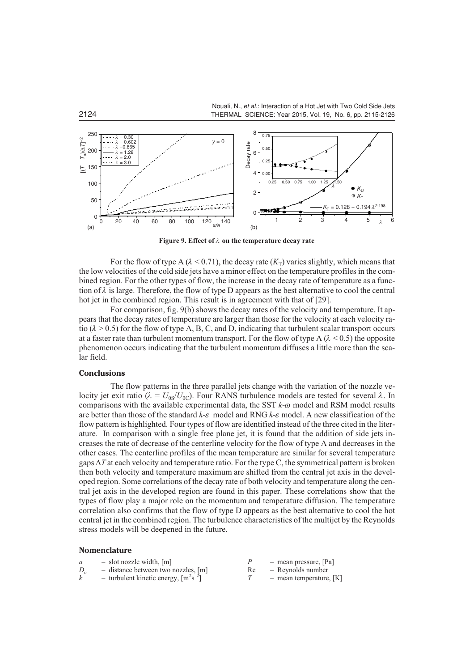

**Figure 9. Effect of**  $\lambda$  **on the temperature decay rate** 

For the flow of type A ( $\lambda$  < 0.71), the decay rate ( $K_T$ ) varies slightly, which means that the low velocities of the cold side jets have a minor effect on the temperature profiles in the combined region. For the other types of flow, the increase in the decay rate of temperature as a function of  $\lambda$  is large. Therefore, the flow of type D appears as the best alternative to cool the central hot jet in the combined region. This result is in agreement with that of [29].

For comparison, fig. 9(b) shows the decay rates of the velocity and temperature. It appears that the decay rates of temperature are larger than those for the velocity at each velocity ratio  $(\lambda > 0.5)$  for the flow of type A, B, C, and D, indicating that turbulent scalar transport occurs at a faster rate than turbulent momentum transport. For the flow of type  $A (\lambda < 0.5)$  the opposite phenomenon occurs indicating that the turbulent momentum diffuses a little more than the scalar field.

#### **Conclusions**

The flow patterns in the three parallel jets change with the variation of the nozzle velocity jet exit ratio ( $\lambda = U_{0S}/U_{0C}$ ). Four RANS turbulence models are tested for several  $\lambda$ . In comparisons with the available experimental data, the SST *k-w* model and RSM model results are better than those of the standard *k-e* model and RNG *k-e* model. A new classification of the flow pattern is highlighted. Four types of flow are identified instead of the three cited in the literature. In comparison with a single free plane jet, it is found that the addition of side jets increases the rate of decrease of the centerline velocity for the flow of type A and decreases in the other cases. The centerline profiles of the mean temperature are similar for several temperature gaps  $\Delta T$  at each velocity and temperature ratio. For the type C, the symmetrical pattern is broken then both velocity and temperature maximum are shifted from the central jet axis in the developed region. Some correlations of the decay rate of both velocity and temperature along the central jet axis in the developed region are found in this paper. These correlations show that the types of flow play a major role on the momentum and temperature diffusion. The temperature correlation also confirms that the flow of type D appears as the best alternative to cool the hot central jet in the combined region. The turbulence characteristics of the multijet by the Reynolds stress models will be deepened in the future.

#### **Nomenclature**

| $-$ slot nozzle width, $[m]$                           |    | - mean pressure, [Pa]     |
|--------------------------------------------------------|----|---------------------------|
| $-$ distance between two nozzles, [m]                  | Re | - Reynolds number         |
| - turbulent kinetic energy, $\lceil m^2 s^{-2} \rceil$ |    | - mean temperature, $[K]$ |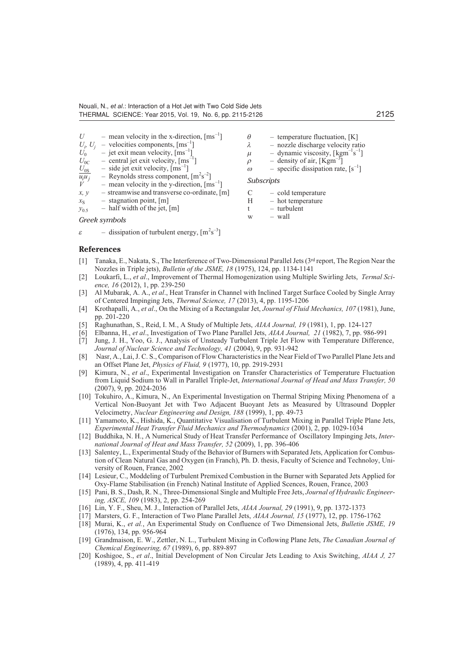$\varepsilon$  – dissipation of turbulent energy,  $\left[\text{m}^2\text{s}^{-3}\right]$ 

| U              | - mean velocity in the x-direction, $\text{[ms]}^{-1}$                                                            | $\theta$          | $-$ temperature fluctuation, [K]                                 |
|----------------|-------------------------------------------------------------------------------------------------------------------|-------------------|------------------------------------------------------------------|
|                | $U_i$ , $U_i$ – velocities components, [ms <sup>-1</sup> ]                                                        | λ                 | - nozzle discharge velocity ratio                                |
| $U_0$          | - jet exit mean velocity, $\lceil \text{ms}^{-1} \rceil$                                                          | $\mu$             | - dynamic viscosity, $\left[\text{kgm}^{-1}\text{s}^{-1}\right]$ |
| $U_{0C}$       | - central jet exit velocity, $\text{[ms}^{-1}]$                                                                   |                   | - density of air, $[Kgm^{-3}]$                                   |
| $U_{0S}$       | $-$ side jet exit velocity, $\lceil ms^{-1} \rceil$                                                               | $\omega$          | - specific dissipation rate, $[s^{-1}]$                          |
| $u_i u_j$<br>V | - Reynolds stress component, $\lceil m^2 s^{-2} \rceil$<br>- mean velocity in the y-direction, $\text{[ms]}^{-1}$ | <b>Subscripts</b> |                                                                  |
| x, y           | $-$ streamwise and transverse co-ordinate, [m]                                                                    | C                 | - cold temperature                                               |
| $x_{\rm s}$    | $-$ stagnation point, [m]                                                                                         | Н                 | - hot temperature                                                |
| $y_{0.5}$      | $-$ half width of the jet, [m]                                                                                    |                   | $-$ turbulent                                                    |
|                | Greek symbols                                                                                                     | W                 | - wall                                                           |

#### **References**

- [1] Tanaka, E., Nakata, S., The Interference of Two-Dimensional Parallel Jets (3rd report, The Region Near the Nozzles in Triple jets), *Bulletin of the JSME, 18* (1975), 124, pp. 1134-1141
- [2] Loukarfi, L., *et al*., Improvement of Thermal Homogenization using Multiple Swirling Jets, *Termal Science, 16* (2012), 1, pp. 239-250
- [3] Al Mubarak, A. A., *et al*., Heat Transfer in Channel with Inclined Target Surface Cooled by Single Array of Centered Impinging Jets, *Thermal Science, 17* (2013), 4, pp. 1195-1206
- [4] Krothapalli, A., *et al*., On the Mixing of a Rectangular Jet, *Journal of Fluid Mechanics, 107* (1981), June, pp. 201-220
- [5] Raghunathan, S., Reid, I. M., A Study of Multiple Jets, *AIAA Journal, 19* (1981), 1, pp. 124-127
- [6] Elbanna, H., *et al*., Investigation of Two Plane Parallel Jets, *AIAA Journal, 21* (1982), 7, pp. 986-991
- [7] Jung, J. H., Yoo, G. J., Analysis of Unsteady Turbulent Triple Jet Flow with Temperature Difference, *Journal of Nuclear Science and Technology, 41* (2004), 9, pp. 931-942
- [8] Nasr, A., Lai, J. C. S., Comparison of Flow Characteristics in the Near Field of Two Parallel Plane Jets and an Offset Plane Jet, *Physics of Fluid, 9* (1977), 10, pp. 2919-2931
- [9] Kimura, N., *et al*., Experimental Investigation on Transfer Characteristics of Temperature Fluctuation from Liquid Sodium to Wall in Parallel Triple-Jet, *International Journal of Head and Mass Transfer, 50* (2007), 9, pp. 2024-2036
- [10] Tokuhiro, A., Kimura, N., An Experimental Investigation on Thermal Striping Mixing Phenomena of a Vertical Non-Buoyant Jet with Two Adjacent Buoyant Jets as Measured by Ultrasound Doppler Velocimetry, *Nuclear Engineering and Design, 188* (1999), 1, pp. 49-73
- [11] Yamamoto, K., Hishida, K., Quantitative Visualisation of Turbulent Mixing in Parallel Triple Plane Jets, *Experimental Heat Transfer Fluid Mechanics and Thermodynamics* (2001), 2, pp. 1029-1034
- [12] Buddhika, N. H., A Numerical Study of Heat Transfer Performance of Oscillatory Impinging Jets, *International Journal of Heat and Mass Transfer, 52* (2009), 1, pp. 396-406
- [13] Salentey, L., Experimental Study of the Behavior of Burners with Separated Jets, Application for Combustion of Clean Natural Gas and Oxygen (in Franch), Ph. D. thesis, Faculty of Science and Technoloy, University of Rouen, France, 2002
- [14] Lesieur, C., Moddeling of Turbulent Premixed Combustion in the Burner with Separated Jets Applied for Oxy-Flame Stabilisation (in French) Natinal Institute of Applied Scences, Rouen, France, 2003
- [15] Pani, B. S., Dash, R. N., Three-Dimensional Single and Multiple Free Jets, *Journal of Hydraulic Engineering, ASCE, 109* (1983), 2, pp. 254-269
- [16] Lin, Y. F., Sheu, M. J., Interaction of Parallel Jets, *AIAA Journal, 29* (1991), 9, pp. 1372-1373
- [17] Marsters, G. F., Interaction of Two Plane Parallel Jets, *AIAA Journal, 15* (1977), 12, pp. 1756-1762
- [18] Murai, K., *et al.*, An Experimental Study on Confluence of Two Dimensional Jets, *Bulletin JSME, 19* (1976), 134, pp. 956-964
- [19] Grandmaison, E. W., Zettler, N. L., Turbulent Mixing in Coflowing Plane Jets, *The Canadian Journal of Chemical Engineering, 67* (1989), 6, pp. 889-897
- [20] Koshigoe, S., *et al*., Initial Development of Non Circular Jets Leading to Axis Switching, *AIAA J, 27* (1989), 4, pp. 411-419